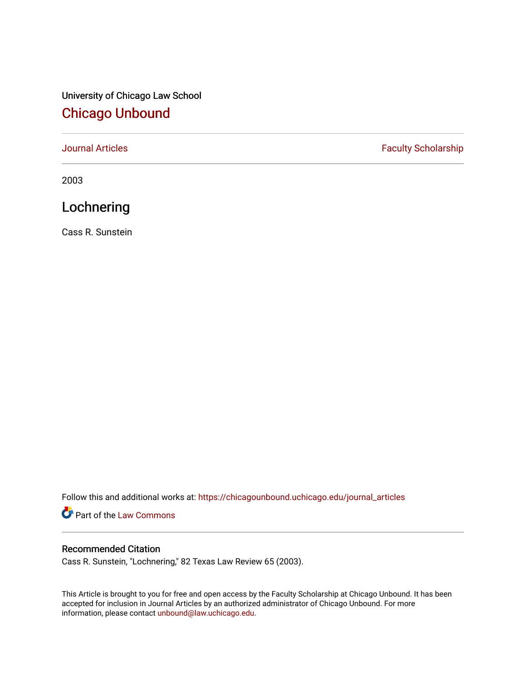# University of Chicago Law School [Chicago Unbound](https://chicagounbound.uchicago.edu/)

[Journal Articles](https://chicagounbound.uchicago.edu/journal_articles) **Faculty Scholarship Faculty Scholarship** 

2003

# Lochnering

Cass R. Sunstein

Follow this and additional works at: [https://chicagounbound.uchicago.edu/journal\\_articles](https://chicagounbound.uchicago.edu/journal_articles?utm_source=chicagounbound.uchicago.edu%2Fjournal_articles%2F8452&utm_medium=PDF&utm_campaign=PDFCoverPages) 

Part of the [Law Commons](http://network.bepress.com/hgg/discipline/578?utm_source=chicagounbound.uchicago.edu%2Fjournal_articles%2F8452&utm_medium=PDF&utm_campaign=PDFCoverPages)

## Recommended Citation

Cass R. Sunstein, "Lochnering," 82 Texas Law Review 65 (2003).

This Article is brought to you for free and open access by the Faculty Scholarship at Chicago Unbound. It has been accepted for inclusion in Journal Articles by an authorized administrator of Chicago Unbound. For more information, please contact [unbound@law.uchicago.edu](mailto:unbound@law.uchicago.edu).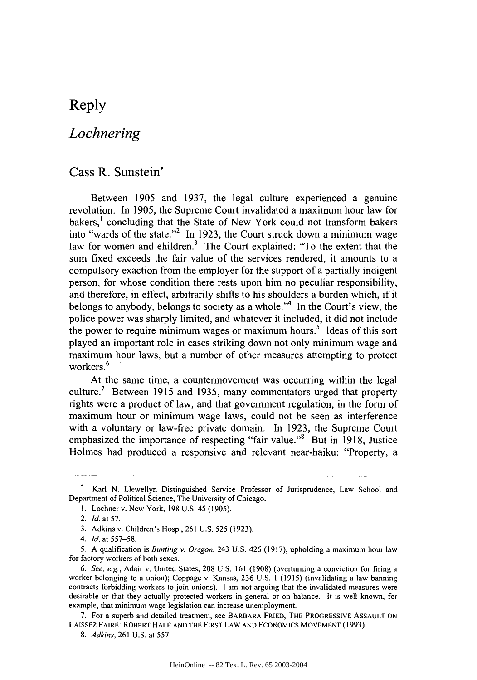## Reply

## *Lochnering*

## Cass R. Sunstein\*

Between 1905 and 1937, the legal culture experienced a genuine revolution. In 1905, the Supreme Court invalidated a maximum hour law for bakers,' concluding that the State of New York could not transform bakers into "wards of the state."<sup>2</sup> In 1923, the Court struck down a minimum wage law for women and ehildren.<sup>3</sup> The Court explained: "To the extent that the sum fixed exceeds the fair value of the services rendered, it amounts to a compulsory exaction from the employer for the support of a partially indigent person, for whose condition there rests upon him no peculiar responsibility, and therefore, in effect, arbitrarily shifts to his shoulders a burden which, if it belongs to anybody, belongs to society as a whole.<sup> $n<sup>4</sup>$ </sup> In the Court's view, the police power was sharply limited, and whatever it included, it did not include the power to require minimum wages or maximum hours.<sup>5</sup> Ideas of this sort played an important role in cases striking down not only minimum wage and maximum hour laws, but a number of other measures attempting to protect workers.<sup>6</sup>

At the same time, a countermovement was occurring within the legal culture.<sup>7</sup> Between 1915 and 1935, many commentators urged that property rights were a product of law, and that government regulation, in the form of maximum hour or minimum wage laws, could not be seen as interference with a voluntary or law-free private domain. In 1923, the Supreme Court emphasized the importance of respecting "fair value."<sup>8</sup> But in 1918, Justice Holmes had produced a responsive and relevant near-haiku: "Property, a

**1.** Lochner v. New York, 198 U.S. 45 (1905).

Karl N. Llewellyn Distinguished Service Professor of Jurisprudence, Law School and Department of Political Science, The University of Chicago.

<sup>2.</sup> *Id.* at 57.

<sup>3.</sup> Adkins v. Children's Hosp., 261 U.S. 525 (1923).

*<sup>4.</sup> Id.* at 557-58.

<sup>5.</sup> A qualification is *Bunting v. Oregon,* 243 U.S. 426 (1917), upholding a maximum hour law for factory workers of both sexes.

*<sup>6.</sup>* See, e.g., Adair v. United States, 208 U.S. 161 (1908) (overturning a conviction for firing a worker belonging to a union); Coppage v. Kansas, 236 U.S. I **(1915)** (invalidating a law banning contracts forbidding workers to join unions). I am not arguing that the invalidated measures were desirable or that they actually protected workers in general or on balance. It is well known, for example, that minimum wage legislation can increase unemployment.

<sup>7.</sup> For a superb and detailed treatment, see BARBARA FRIED, THE PROGRESSIVE ASSAULT ON LAISSEZ FAIRE: ROBERT HALE AND THE FIRST LAW AND ECONOMICS MOVEMENT (1993).

*<sup>8.</sup> Adkins,* 261 U.S. at 557.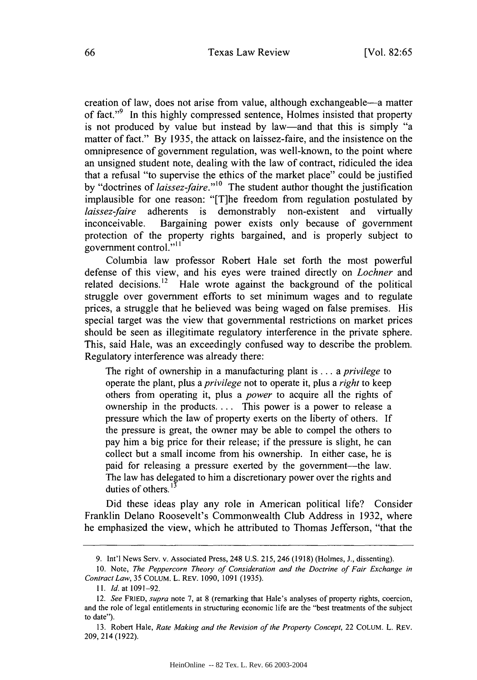creation of law, does not arise from value, although exchangeable-a matter of fact."<sup>9</sup> In this highly compressed sentence, Holmes insisted that property is not produced by value but instead by law-and that this is simply "a matter of fact." By 1935, the attack on laissez-faire, and the insistence on the omnipresence of government regulation, was well-known, to the point where an unsigned student note, dealing with the law of contract, ridiculed the idea that a refusal "to supervise the ethics of the market place" could be justified by "doctrines of *laissez-faire."'0* The student author thought the justification implausible for one reason: "[T]he freedom from regulation postulated by *laissez-faire* adherents is demonstrably non-existent and virtually inconceivable. Bargaining power exists only because of government protection of the property rights bargained, and is properly subject to government control."<sup>11</sup>

Columbia law professor Robert Hale set forth the most powerful defense of this view, and his eyes were trained directly on *Lochner* and related decisions.<sup>12</sup> Hale wrote against the background of the political struggle over government efforts to set minimum wages and to regulate prices, a struggle that he believed was being waged on false premises. His special target was the view that governmental restrictions on market prices should be seen as illegitimate regulatory interference in the private sphere. This, said Hale, was an exceedingly confused way to describe the problem. Regulatory interference was already there:

The right of ownership in a manufacturing plant is ... a *privilege* to operate the plant, plus a *privilege* not to operate it, plus a *right* to keep others from operating it, plus a *power* to acquire all the rights of ownership in the products **....** This power is a power to release a pressure which the law of property exerts on the liberty of others. If the pressure is great, the owner may be able to compel the others to pay him a big price for their release; if the pressure is slight, he can collect but a small income from his ownership. In either case, he is paid for releasing a pressure exerted by the government—the law. The law has delegated to him a discretionary power over the rights and duties of others.<sup>1</sup>

Did these ideas play any role in American political life? Consider Franklin Delano Roosevelt's Commonwealth Club Address in 1932, where he emphasized the view, which he attributed to Thomas Jefferson, "that the

<sup>9.</sup> Int'l News Serv. v. Associated Press, 248 U.S. 215, 246 (1918) (Holmes, J., dissenting).

<sup>10.</sup> Note, *The Peppercorn Theory of Consideration and the Doctrine of Fair Exchange in Contract Law,* 35 COLUM. L. REv. 1090, 1091 (1935).

*<sup>11.</sup>* **Id.** at **1091-92.**

<sup>12.</sup> *See* FRIED, *supra* note 7, at 8 (remarking that Hale's analyses of property rights, coercion, and the role of legal entitlements in structuring economic life are the "best treatments of the subject to date").

<sup>13.</sup> Robert Hale, *Rate Making and the Revision of the Property Concept,* 22 COLUM. L. REv. 209, 214 (1922).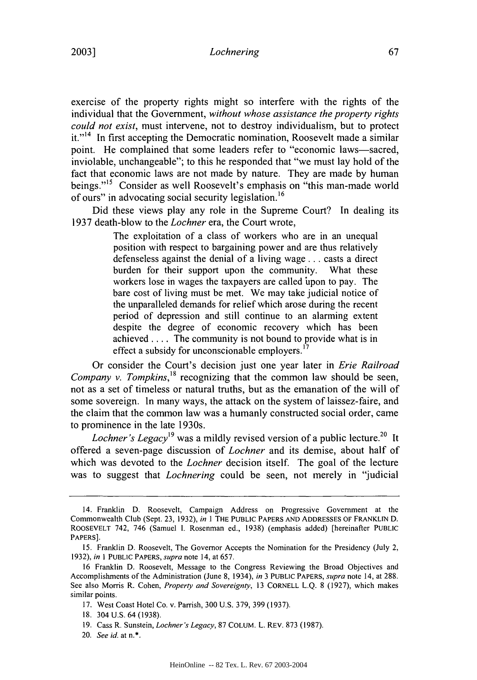exercise of the property rights might so interfere with the rights of the individual that the Government, *without whose assistance the property rights could not exist,* must intervene, not to destroy individualism, but to protect  $it.^{14}$  In first accepting the Democratic nomination, Roosevelt made a similar point. He complained that some leaders refer to "economic laws—sacred, inviolable, unchangeable"; to this he responded that "we must lay hold of the fact that economic laws are not made by nature. They are made by human beings."<sup>15</sup> Consider as well Roosevelt's emphasis on "this man-made world of ours" in advocating social security legislation.<sup>16</sup>

Did these views play any role in the Supreme Court? In dealing its 1937 death-blow to the *Lochner* era, the Court wrote,

> The exploitation of a class of workers who are in an unequal position with respect to bargaining power and are thus relatively defenseless against the denial of a living wage **...** casts a direct burden for their support upon the community. What these workers lose in wages the taxpayers are called upon to pay. The bare cost of living must be met. We may take judicial notice of the unparalleled demands for relief which arose during the recent period of depression and still continue to an alarming extent despite the degree of economic recovery which has been achieved .... The community is not bound to provide what is in effect a subsidy for unconscionable employers.<sup>17</sup>

Or consider the Court's decision just one year later in *Erie Railroad Company v. Tompkins*,<sup>18</sup> recognizing that the common law should be seen, not as a set of timeless or natural truths, but as the emanation of the will of some sovereign. In many ways, the attack on the system of laissez-faire, and the claim that the common law was a humanly constructed social order, came to prominence in the late 1930s.

*Lochner's Legacy*<sup>19</sup> was a mildly revised version of a public lecture.<sup>20</sup> It offered a seven-page discussion of *Lochner* and its demise, about half of which was devoted to the *Lochner* decision itself. The goal of the lecture was to suggest that *Lochnering* could be seen, not merely in "judicial

<sup>14.</sup> Franklin D. Roosevelt, Campaign Address on Progressive Government at the Commonwealth Club (Sept. 23, 1932), *in* **I** THE PUBLIC PAPERS AND ADDRESSES OF FRANKLIN D. ROOSEVELT 742, 746 (Samuel **1.** Rosenman ed., 1938) (emphasis added) [hereinafter PUBLIC PAPERS].

<sup>15.</sup> Franklin D. Roosevelt, The Governor Accepts the Nomination for the Presidency (July 2, 1932), *in* 1 PUBLIC PAPERS, *supra* note 14, at 657.

<sup>16</sup> Franklin D. Roosevelt, Message to the Congress Reviewing the Broad Objectives and Accomplishments of the Administration (June 8, 1934), *in* 3 PUBLIC PAPERS, *supra* note 14, at 288. See also Morris R. Cohen, *Property and Sovereignty,* 13 CORNELL L.Q. 8 (1927), which makes similar points.

<sup>17.</sup> West Coast Hotel Co. v. Parrish, 300 U.S. 379, 399 (1937).

<sup>18. 304</sup> U.S. 64 (1938).

<sup>19.</sup> Cass R. Sunstein, *Lochner's Legacy,* 87 COLUM. L. REV. 873 (1987).

<sup>20.</sup> *See id.* at n.\*.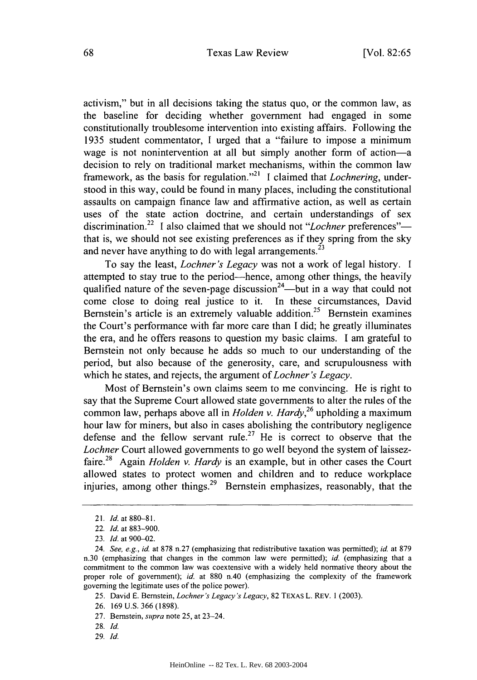activism," but in all decisions taking the status quo, or the common law, as the baseline for deciding whether government had engaged in some constitutionally troublesome intervention into existing affairs. Following the 1935 student commentator, I urged that a "failure to impose a minimum wage is not nonintervention at all but simply another form of action-a decision to rely on traditional market mechanisms, within the common law framework, as the basis for regulation."<sup>21</sup> I claimed that *Lochnering*, understood in this way, could be found in many places, including the constitutional assaults on campaign finance law and affirmative action, as well as certain uses of the state action doctrine, and certain understandings of sex discrimination.<sup>22</sup> I also claimed that we should not "*Lochner* preferences" that is, we should not see existing preferences as if they spring from the sky and never have anything to do with legal arrangements.<sup>23</sup>

To say the least, *Lochner's Legacy* was not a work of legal history. I attempted to stay true to the period-hence, among other things, the heavily qualified nature of the seven-page discussion<sup>24</sup>—but in a way that could not come close to doing real justice to it. In these circumstances, David Bernstein's article is an extremely valuable addition.<sup>25</sup> Bernstein examines the Court's performance with far more care than I did; he greatly illuminates the era, and he offers reasons to question my basic claims. I am grateful to Bernstein not only because he adds so much to our understanding of the period, but also because of the generosity, care, and scrupulousness with which he states, and rejects, the argument *of Lochner's Legacy.*

Most of Bernstein's own claims seem to me convincing. He is right to say that the Supreme Court allowed state governments to alter the rules of the common law, perhaps above all in *Holden v. Hardy,26* upholding a maximum hour law for miners, but also in cases abolishing the contributory negligence defense and the fellow servant rule.<sup>27</sup> He is correct to observe that the *Lochner* Court allowed governments to go well beyond the system of laissezfaire.28 Again *Holden v. Hardy* is an example, but in other cases the Court allowed states to protect women and children and to reduce workplace injuries, among other things.<sup>29</sup> Bernstein emphasizes, reasonably, that the

- 26. 169 U.S. 366 (1898).
- 27. Bernstein, supra note 25, at 23-24.
- 28. *Id.*
- 29. *Id.*

*<sup>21.</sup> Id.* at 880-81.

<sup>22.</sup> *Id.* at 883-900.

<sup>23.</sup> *Id.* at 900-02.

<sup>24.</sup> *See, e.g., id.* at 878 n.27 (emphasizing that redistributive taxation was permitted); *id.* at 879 n.30 (emphasizing that changes in the common law were permitted); *id.* (emphasizing that a commitment to the common law was coextensive with a widely held normative theory about the proper role of government); *id.* at 880 n.40 (emphasizing the complexity of the framework governing the legitimate uses of the police power).

<sup>25.</sup> David E. Bernstein, *Lochner's Legacy's Legacy,* 82 TEXAS L. REV. 1 (2003).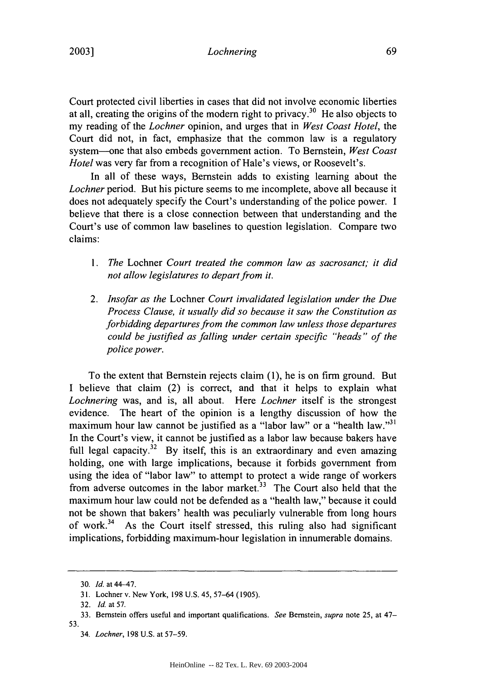## *Lochnering*

Court protected civil liberties in cases that did not involve economic liberties at all, creating the origins of the modern right to privacy.<sup>30</sup> He also objects to my reading of the *Lochner* opinion, and urges that in *West Coast Hotel,* the Court did not, in fact, emphasize that the common law is a regulatory system-one that also embeds government action. To Bernstein, *West Coast Hotel* was very far from a recognition of Hale's views, or Roosevelt's.

In all of these ways, Bernstein adds to existing learning about the *Lochner* period. But his picture seems to me incomplete, above all because it does not adequately specify the Court's understanding of the police power. I believe that there is a close connection between that understanding and the Court's use of common law baselines to question legislation. Compare two claims:

- *1. The* Lochner *Court treated the common law as sacrosanct; it did not allow legislatures to depart from it.*
- 2. *Insofar as the* Lochner *Court invalidated legislation under the Due Process Clause, it usually did so because it saw the Constitution as forbidding departures from the common law unless those departures could be justified as falling under certain specific "heads" of the police power.*

To the extent that Bernstein rejects claim (1), he is on firm ground. But I believe that claim (2) is correct, and that it helps to explain what *Lochnering* was, and is, all about. Here *Lochner* itself is the strongest evidence. The heart of the opinion is a lengthy discussion of how the maximum hour law cannot be justified as a "labor law" or a "health law."<sup>31</sup> In the Court's view, it cannot be justified as a labor law because bakers have full legal capacity.<sup>32</sup> By itself, this is an extraordinary and even amazing holding, one with large implications, because it forbids government from using the idea of "labor law" to attempt to protect a wide range of workers from adverse outcomes in the labor market.<sup>33</sup> The Court also held that the maximum hour law could not be defended as a "health law," because it could not be shown that bakers' health was peculiarly vulnerable from long hours of work.<sup>34</sup> As the Court itself stressed, this ruling also had significant implications, forbidding maximum-hour legislation in innumerable domains.

<sup>30.</sup> *Id.* at 44-47.

<sup>31.</sup> Lochner v. New York, 198 U.S. 45, 57-64 (1905).

<sup>32.</sup> **Id.** at 57.

<sup>33.</sup> Bernstein offers useful and important qualifications. *See* Bernstein, *supra* note 25, at 47- 53.

<sup>34.</sup> *Lochner,* 198 U.S. at 57-59.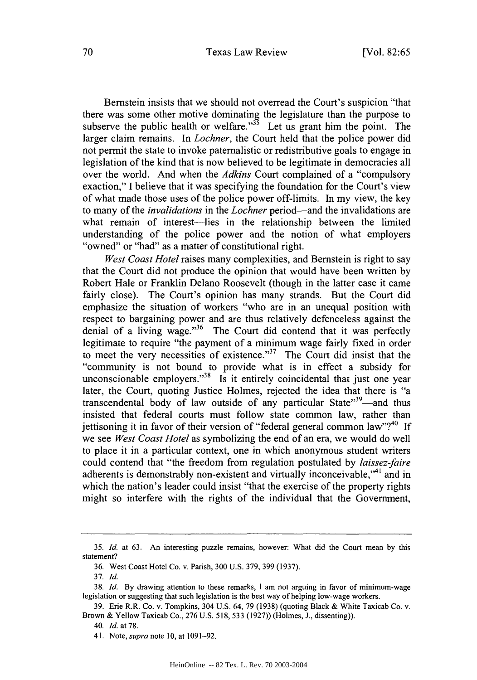#### Texas Law Review

Bernstein insists that we should not overread the Court's suspicion "that there was some other motive dominating the legislature than the purpose to subserve the public health or welfare."<sup> $35$ </sup> Let us grant him the point. The larger claim remains. In *Lochner,* the Court held that the police power did not permit the state to invoke paternalistic or redistributive goals to engage in legislation of the kind that is now believed to be legitimate in democracies all over the world. And when the *Adkins* Court complained of a "compulsory exaction," I believe that it was specifying the foundation for the Court's view of what made those uses of the police power off-limits. In my view, the key to many of the *invalidations* in the *Lochner* period-and the invalidations are what remain of interest-lies in the relationship between the limited understanding of the police power and the notion of what employers "owned" or "had" as a matter of constitutional right.

*West Coast Hotel* raises many complexities, and Bernstein is right to say that the Court did not produce the opinion that would have been written by Robert Hale or Franklin Delano Roosevelt (though in the latter case it came fairly close). The Court's opinion has many strands. But the Court did emphasize the situation of workers "who are in an unequal position with respect to bargaining power and are thus relatively defenceless against the denial of a living wage."<sup>36</sup> The Court did contend that it was perfectly legitimate to require "the payment of a minimum wage fairly fixed in order to meet the very necessities of existence."<sup>37</sup> The Court did insist that the "community is not bound to provide what is in effect a subsidy for unconscionable employers. $138$  Is it entirely coincidental that just one year later, the Court, quoting Justice Holmes, rejected the idea that there is "a transcendental body of law outside of any particular State"<sup>39</sup>—and thus insisted that federal courts must follow state common law, rather than jettisoning it in favor of their version of "federal general common law"?<sup>40</sup> If we see *West Coast Hotel* as symbolizing the end of an era, we would do well to place it in a particular context, one in which anonymous student writers could contend that "the freedom from regulation postulated by *laissez-faire* adherents is demonstrably non-existent and virtually inconceivable,"<sup>41</sup> and in which the nation's leader could insist "that the exercise of the property rights might so interfere with the rights of the individual that the Government,

*<sup>35.</sup> Id.* at 63. An interesting puzzle remains, however: What did the Court mean by this statement?

<sup>36.</sup> West Coast Hotel Co. v. Parish, 300 U.S. 379, 399 (1937).

<sup>37.</sup> *Id.*

<sup>38.</sup> *Id.* By drawing attention to these remarks, I am not arguing in favor of minimum-wage legislation or suggesting that such legislation is the best way of helping low-wage workers.

<sup>39.</sup> Erie R.R. Co. v. Tompkins, 304 U.S. 64, 79 (1938) (quoting Black & White Taxicab Co. v. Brown & Yellow Taxicab Co., 276 U.S. 518, 533 (1927)) (Holmes, J., dissenting)).

<sup>40.</sup> *Id.* at 78.

<sup>41.</sup> Note, *supra* note 10, at 1091-92.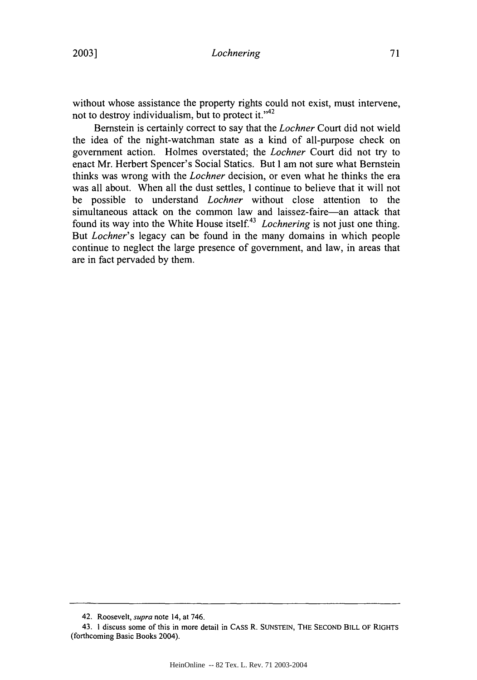#### *Lochnering*

without whose assistance the property rights could not exist, must intervene, not to destroy individualism, but to protect it."<sup>42</sup>

Bernstein is certainly correct to say that the *Lochner* Court did not wield the idea of the night-watchman state as a kind of all-purpose check on government action. Holmes overstated; the *Lochner* Court did not try to enact Mr. Herbert Spencer's Social Statics. But I am not sure what Bernstein thinks was wrong with the *Lochner* decision, or even what he thinks the era was all about. When all the dust settles, I continue to believe that it will not be possible to understand *Lochner* without close attention to the simultaneous attack on the common law and laissez-faire-an attack that found its way into the White House itself.43 *Lochnering* is not just one thing. But *Lochner's* legacy can be found in the many domains in which people continue to neglect the large presence of government, and law, in areas that are in fact pervaded by them.

<sup>42.</sup> Roosevelt, *supra* note 14, at 746.

<sup>43.</sup> I discuss some of this in more detail in CASS R. SUNSTEIN, THE SECOND BILL OF RIGHTS (forthcoming Basic Books 2004).